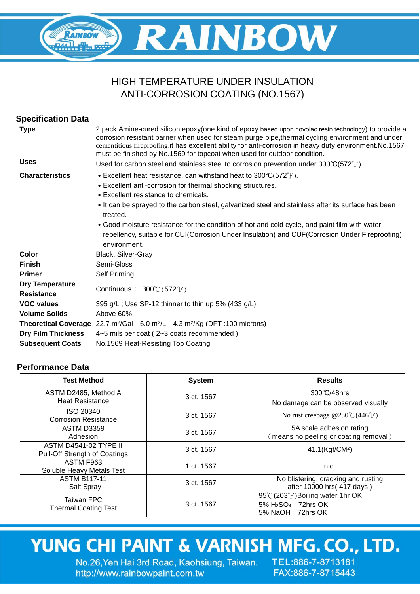## **RAINBOW** RAINBOW

### HIGH TEMPERATURE UNDER INSULATION ANTI-CORROSION COATING (NO.1567)

| <b>Specification Data</b>                   |                                                                                                                                                                                                                                                                                                                                                                                                                                                                                                                             |  |  |  |
|---------------------------------------------|-----------------------------------------------------------------------------------------------------------------------------------------------------------------------------------------------------------------------------------------------------------------------------------------------------------------------------------------------------------------------------------------------------------------------------------------------------------------------------------------------------------------------------|--|--|--|
| <b>Type</b>                                 | 2 pack Amine-cured silicon epoxy(one kind of epoxy based upon novolac resin technology) to provide a<br>corrosion resistant barrier when used for steam purge pipe, thermal cycling environment and under<br>cementitious fireproofing.it has excellent ability for anti-corrosion in heavy duty environment. No.1567<br>must be finished by No.1569 for topcoat when used for outdoor condition.                                                                                                                           |  |  |  |
| <b>Uses</b>                                 | Used for carbon steel and stainless steel to corrosion prevention under $300^{\circ}C(572^{\circ}F)$ .                                                                                                                                                                                                                                                                                                                                                                                                                      |  |  |  |
| <b>Characteristics</b>                      | • Excellent heat resistance, can withstand heat to $300^{\circ}C(572^{\circ}F)$ .<br>• Excellent anti-corrosion for thermal shocking structures.<br>• Excellent resistance to chemicals.<br>It can be sprayed to the carbon steel, galvanized steel and stainless after its surface has been<br>treated.<br>• Good moisture resistance for the condition of hot and cold cycle, and paint film with water<br>repellency, suitable for CUI(Corrosion Under Insulation) and CUF(Corrosion Under Fireproofing)<br>environment. |  |  |  |
| Color                                       | Black, Silver-Gray                                                                                                                                                                                                                                                                                                                                                                                                                                                                                                          |  |  |  |
| <b>Finish</b>                               | Semi-Gloss                                                                                                                                                                                                                                                                                                                                                                                                                                                                                                                  |  |  |  |
| <b>Primer</b>                               | Self Priming                                                                                                                                                                                                                                                                                                                                                                                                                                                                                                                |  |  |  |
| <b>Dry Temperature</b><br><b>Resistance</b> | Continuous: $300^{\circ}$ (572 $^{\circ}$ F)                                                                                                                                                                                                                                                                                                                                                                                                                                                                                |  |  |  |
| <b>VOC values</b>                           | 395 g/L; Use SP-12 thinner to thin up 5% (433 g/L).                                                                                                                                                                                                                                                                                                                                                                                                                                                                         |  |  |  |
| <b>Volume Solids</b>                        | Above 60%                                                                                                                                                                                                                                                                                                                                                                                                                                                                                                                   |  |  |  |
|                                             | Theoretical Coverage 22.7 m <sup>2</sup> /Gal 6.0 m <sup>2</sup> /L 4.3 m <sup>2</sup> /Kg (DFT :100 microns)                                                                                                                                                                                                                                                                                                                                                                                                               |  |  |  |
| <b>Dry Film Thickness</b>                   | 4~5 mils per coat (2~3 coats recommended).                                                                                                                                                                                                                                                                                                                                                                                                                                                                                  |  |  |  |
| <b>Subsequent Coats</b>                     | No.1569 Heat-Resisting Top Coating                                                                                                                                                                                                                                                                                                                                                                                                                                                                                          |  |  |  |

### **Performance Data**

| <b>Test Method</b>                                            | <b>System</b> | <b>Results</b>                                                                                      |
|---------------------------------------------------------------|---------------|-----------------------------------------------------------------------------------------------------|
| ASTM D2485, Method A<br><b>Heat Resistance</b>                | 3 ct. 1567    | $300^{\circ}$ C/48hrs<br>No damage can be observed visually                                         |
| ISO 20340<br><b>Corrosion Resistance</b>                      | 3 ct. 1567    | No rust creepage $@230^{\circ}C(446^{\circ}F)$                                                      |
| <b>ASTM D3359</b><br>Adhesion                                 | 3 ct. 1567    | 5A scale adhesion rating<br>means no peeling or coating removal)                                    |
| <b>ASTM D4541-02 TYPE II</b><br>Pull-Off Strength of Coatings | 3 ct. 1567    | 41.1(Kgf/CM <sup>2</sup> )                                                                          |
| ASTM F963<br>Soluble Heavy Metals Test                        | 1 ct. 1567    | n.d.                                                                                                |
| <b>ASTM B117-11</b><br>Salt Spray                             | 3 ct. 1567    | No blistering, cracking and rusting<br>after 10000 hrs (417 days)                                   |
| <b>Taiwan FPC</b><br><b>Thermal Coating Test</b>              | 3 ct. 1567    | 95°C (203°F) Boiling water 1hr OK<br>5% H <sub>2</sub> SO <sub>4</sub> 72hrs OK<br>5% NaOH 72hrs OK |

# YUNG CHI PAINT & VARNISH MFG. CO., LTD.

No.26, Yen Hai 3rd Road, Kaohsiung, Taiwan. http://www.rainbowpaint.com.tw

TEL:886-7-8713181 FAX:886-7-8715443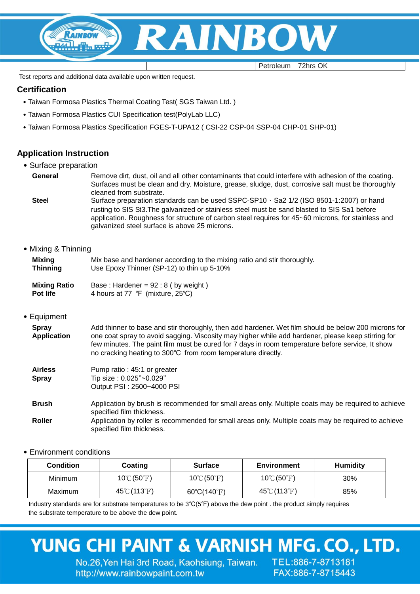

Petroleum 72hrs OK

Test reports and additional data available upon written request.

#### **Certification**

- ˙Taiwan Formosa Plastics Thermal Coating Test( SGS Taiwan Ltd. )
- ˙Taiwan Formosa Plastics CUI Specification test(PolyLab LLC)
- ˙Taiwan Formosa Plastics Specification FGES-T-UPA12 ( CSI-22 CSP-04 SSP-04 CHP-01 SHP-01)

#### **Application Instruction**

- ˙Surface preparation
- **General** Remove dirt, dust, oil and all other contaminants that could interfere with adhesion of the coating. Surfaces must be clean and dry. Moisture, grease, sludge, dust, corrosive salt must be thoroughly cleaned from substrate.
	- Steel Surface preparation standards can be used SSPC-SP10 \ Sa2 1/2 (ISO 8501-1:2007) or hand rusting to SIS St3.The galvanized or stainless steel must be sand blasted to SIS Sa1 before application. Roughness for structure of carbon steel requires for 45~60 microns, for stainless and galvanized steel surface is above 25 microns.

#### ˙Mixing & Thinning

| Mixing              | Mix base and hardener according to the mixing ratio and stir thoroughly. |
|---------------------|--------------------------------------------------------------------------|
| Thinning            | Use Epoxy Thinner (SP-12) to thin up 5-10%                               |
| <b>Mixing Ratio</b> | Base: Hardener = $92:8$ (by weight)                                      |

**Pot life** 4 hours at 77 ℉ (mixture, 25℃)

#### ˙Equipment

| <b>Spray</b>       | Add thinner to base and stir thoroughly, then add hardener. Wet film should be below 200 microns for                                                             |
|--------------------|------------------------------------------------------------------------------------------------------------------------------------------------------------------|
| <b>Application</b> | one coat spray to avoid sagging. Viscosity may higher while add hardener, please keep stirring for                                                               |
|                    | few minutes. The paint film must be cured for 7 days in room temperature before service, It show<br>no cracking heating to 300°C from room temperature directly. |

| <b>Airless</b><br><b>Spray</b> | Pump ratio: 45:1 or greater<br>Tip size: 0.025"~0.029"<br>Output PSI: 2500~4000 PSI |  |
|--------------------------------|-------------------------------------------------------------------------------------|--|
|                                |                                                                                     |  |

**Brush Roller** Application by brush is recommended for small areas only. Multiple coats may be required to achieve specified film thickness. Application by roller is recommended for small areas only. Multiple coats may be required to achieve specified film thickness.

#### ˙Environment conditions

| <b>Condition</b> | Coating                           | <b>Surface</b>                   | Environment                       | <b>Humidity</b> |
|------------------|-----------------------------------|----------------------------------|-----------------------------------|-----------------|
| <b>Minimum</b>   | $10^{\circ}$ C (50 $^{\circ}$ F)  | $10^{\circ}$ C (50 $^{\circ}$ F) | $10^{\circ}$ C (50 $^{\circ}$ F)  | 30%             |
| Maximum          | $45^{\circ}$ C (113 $^{\circ}$ F) | $60^{\circ}C(140^{\circ}F)$      | $45^{\circ}$ C (113 $^{\circ}$ F) | 85%             |

Industry standards are for substrate temperatures to be 3℃(5℉) above the dew point . the product simply requires the substrate temperature to be above the dew point.

# YUNG CHI PAINT & VARNISH MFG. CO., LTD.

No.26, Yen Hai 3rd Road, Kaohsiung, Taiwan. TEL:886-7-8713181 http://www.rainbowpaint.com.tw

FAX:886-7-8715443